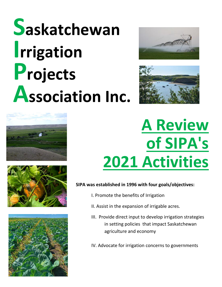# **Saskatchewan Irrigation Projects Association Inc.**











## **A Review of SIPA's 2021 Activities**

#### **SIPA was established in 1996 with four goals/objectives:**

- I. Promote the benefits of Irrigation
- II. Assist in the expansion of irrigable acres.
- III. Provide direct input to develop irrigation strategies in setting policies that impact Saskatchewan agriculture and economy
- IV. Advocate for irrigation concerns to governments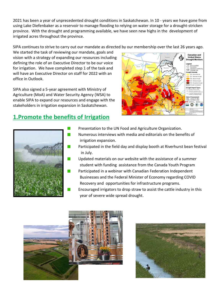2021 has been a year of unprecedented drought conditions in Saskatchewan. In 10 - years we have gone from using Lake Diefenbaker as a reservoir to manage flooding to relying on water storage for a drought-stricken province. With the drought and programming available, we have seen new highs in the development of irrigated acres throughout the province.

SIPA continues to strive to carry out our mandate as directed by our membership over the last 26 years ago.

We started the task of reviewing our mandate, goals and vision with a strategy of expanding our resources including defining the role of an Executive Director to be our voice for irrigation. We have completed step 1 of the task and will have an Executive Director on staff for 2022 with an office in Outlook.

SIPA also signed a 5-year agreement with Ministry of Agriculture (MoA) and Water Security Agency (WSA) to enable SIPA to expand our resources and engage with the stakeholders in irrigation expansion in Saskatchewan.

#### **1.Promote the benefits of Irrigation**





- Presentation to the UN Food and Agriculture Organization.
- Numerous interviews with media and editorials on the benefits of irrigation expansion.
- Participated in the field day and display booth at Riverhurst bean festival in July.
- Updated materials on our website with the assistance of a summer student with funding assistance from the Canada Youth Program
- Participated in a webinar with Canadian Federation Independent Businesses and the Federal Minister of Economy regarding COVID Recovery and opportunities for infrastructure programs.
- Encouraged irrigators to drop straw to assist the cattle industry in this year of severe wide spread drought.



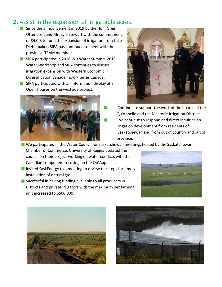#### **2.** Assist in the expansion of irrigatable acres.

- Since the announcement in 2019 by the Hon. Greg Ottenbreit and Mr. Lyle Stewart with the commitment of \$4.0 B to fund the expansion of irrigation from Lake Diefenbaker, SIPA has continued to meet with the provincial TEAM members.
- **SIPA participated in 2018 WD Water Summit, 2019** Water Workshop and SIPA continues to discuss irrigation expansion with Western Economic Diversification Canada, now Prairies Canada.
- **SIPA participated with an information display at 3** Open Houses on the westside project.





- Continue to support the work of the boards of the Qu'Appelle and the Macrorie Irrigation Districts. We continue to respond and direct inquiries on irrigation development from residents of Saskatchewan and from out of country and out of province.
- We participated in the Water Council for Saskatchewan meetings hosted by the Saskatchewan Chamber of Commerce. University of Regina updated the council on their project working on water conflicts with the

 $\mathcal{C}^{\mathcal{A}}$ 

Canadian component focusing on the Qu'Appelle.

- Invited SaskEnergy to a meeting to review the steps for timely installation of natural gas.
- Successful in having funding available to all producers in Districts and private irrigators with the maximum per farming unit increased to \$500,000.





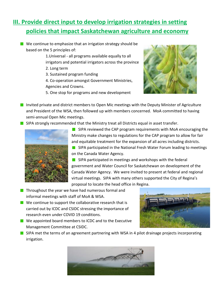### **III. Provide direct input to develop irrigation strategies in setting policies that impact Saskatchewan agriculture and economy**

- $\blacksquare$  We continue to emphasize that an irrigation strategy should be based on the 5 principles of:
	- 1.Universal all programs available equally to all irrigators and potential irrigators across the province
	- 2. Long term
	- 3. Sustained program funding
	- 4. Co-operation amongst Government Ministries, Agencies and Crowns.
	- 5. One stop for programs and new development



**Invited private and district members to Open Mic meetings with the Deputy Minister of Agriculture** and President of the WSA, then followed up with members concerned. MoA committed to having semi-annual Open Mic meetings.

 $\blacksquare$  SIPA strongly recommended that the Ministry treat all Districts equal in asset transfer.



SIPA reviewed the CAP program requirements with MoA encouraging the Ministry make changes to regulations for the CAP program to allow for fair and equitable treatment for the expansion of all acres including districts.

**SIPA participated in the National Fresh Water Forum leading to meetings** on the Canada Water Agency.

SIPA participated in meetings and workshops with the federal government and Water Council for Saskatchewan on development of the Canada Water Agency. We were invited to present at federal and regional virtual meetings. SIPA with many others supported the City of Regina's proposal to locate the head office in Regina.

- $\blacksquare$  Throughout the year we have had numerous formal and informal meetings with staff of MoA & WSA.
- $\blacksquare$  We continue to support the collaborative research that is carried out by ICDC and CSIDC stressing the importance of research even under COVID 19 conditions.
- We appointed board members to ICDC and to the Executive Management Committee at CSIDC.



**SIPA met the terms of an agreement partnering with WSA in 4 pilot drainage projects incorporating** irrigation.